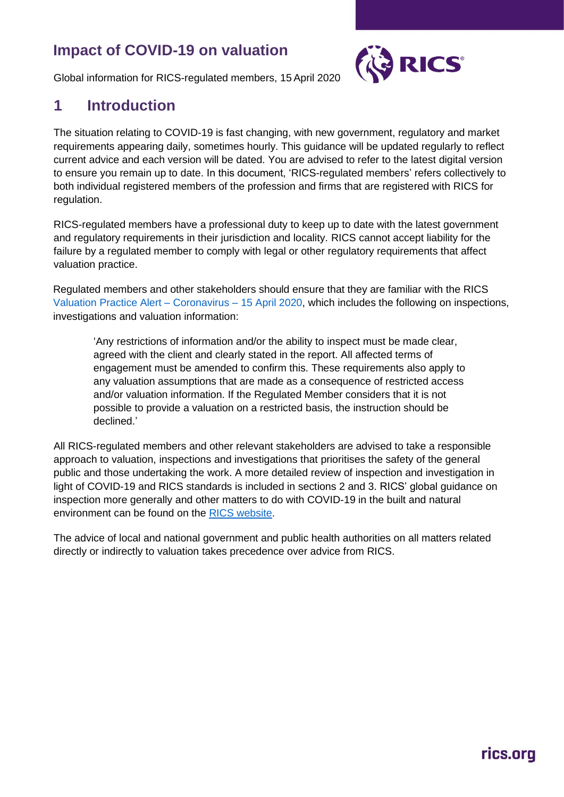### **Impact of COVID-19 on valuation**



Global information for RICS-regulated members, 15 April 2020

#### **1 Introduction**

The situation relating to COVID-19 is fast changing, with new government, regulatory and market requirements appearing daily, sometimes hourly. This guidance will be updated regularly to reflect current advice and each version will be dated. You are advised to refer to the latest digital version to ensure you remain up to date. In this document, 'RICS-regulated members' refers collectively to both individual registered members of the profession and firms that are registered with RICS for regulation.

RICS-regulated members have a professional duty to keep up to date with the latest government and regulatory requirements in their jurisdiction and locality. RICS cannot accept liability for the failure by a regulated member to comply with legal or other regulatory requirements that affect valuation practice.

Regulated members and other stakeholders should ensure that they are familiar with the RICS Valuation Practice Alert – Coronavirus – 15 April 2020, which includes the following on inspections, investigations and valuation information:

'Any restrictions of information and/or the ability to inspect must be made clear, agreed with the client and clearly stated in the report. All affected terms of engagement must be amended to confirm this. These requirements also apply to any valuation assumptions that are made as a consequence of restricted access and/or valuation information. If the Regulated Member considers that it is not possible to provide a valuation on a restricted basis, the instruction should be declined.'

All RICS-regulated members and other relevant stakeholders are advised to take a responsible approach to valuation, inspections and investigations that prioritises the safety of the general public and those undertaking the work. A more detailed review of inspection and investigation in light of COVID-19 and RICS standards is included in sections 2 and 3. RICS' global guidance on inspection more generally and other matters to do with COVID-19 in the built and natural environment can be found on the RICS website.

The advice of local and national government and public health authorities on all matters related directly or indirectly to valuation takes precedence over advice from RICS.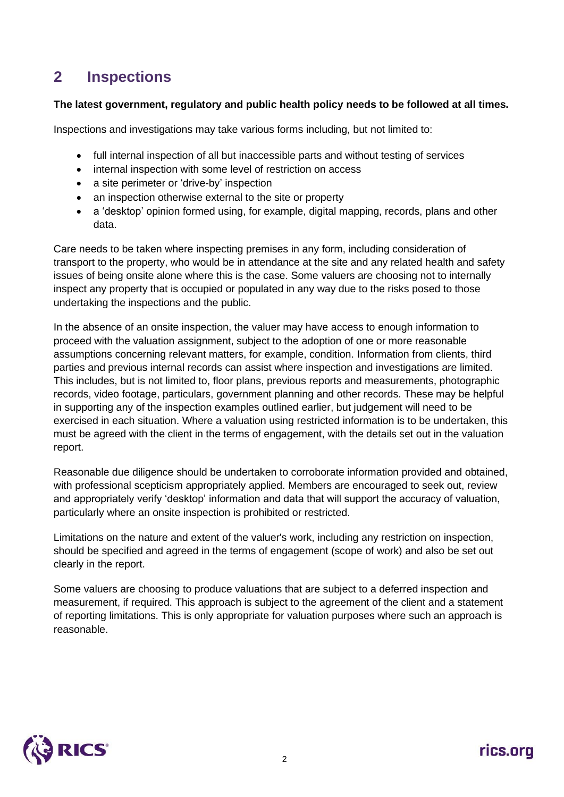### **2 Inspections**

#### **The latest government, regulatory and public health policy needs to be followed at all times.**

Inspections and investigations may take various forms including, but not limited to:

- full internal inspection of all but inaccessible parts and without testing of services
- internal inspection with some level of restriction on access
- a site perimeter or 'drive-by' inspection
- an inspection otherwise external to the site or property
- a 'desktop' opinion formed using, for example, digital mapping, records, plans and other data.

Care needs to be taken where inspecting premises in any form, including consideration of transport to the property, who would be in attendance at the site and any related health and safety issues of being onsite alone where this is the case. Some valuers are choosing not to internally inspect any property that is occupied or populated in any way due to the risks posed to those undertaking the inspections and the public.

In the absence of an onsite inspection, the valuer may have access to enough information to proceed with the valuation assignment, subject to the adoption of one or more reasonable assumptions concerning relevant matters, for example, condition. Information from clients, third parties and previous internal records can assist where inspection and investigations are limited. This includes, but is not limited to, floor plans, previous reports and measurements, photographic records, video footage, particulars, government planning and other records. These may be helpful in supporting any of the inspection examples outlined earlier, but judgement will need to be exercised in each situation. Where a valuation using restricted information is to be undertaken, this must be agreed with the client in the terms of engagement, with the details set out in the valuation report.

Reasonable due diligence should be undertaken to corroborate information provided and obtained, with professional scepticism appropriately applied. Members are encouraged to seek out, review and appropriately verify 'desktop' information and data that will support the accuracy of valuation, particularly where an onsite inspection is prohibited or restricted.

Limitations on the nature and extent of the valuer's work, including any restriction on inspection, should be specified and agreed in the terms of engagement (scope of work) and also be set out clearly in the report.

Some valuers are choosing to produce valuations that are subject to a deferred inspection and measurement, if required. This approach is subject to the agreement of the client and a statement of reporting limitations. This is only appropriate for valuation purposes where such an approach is reasonable.

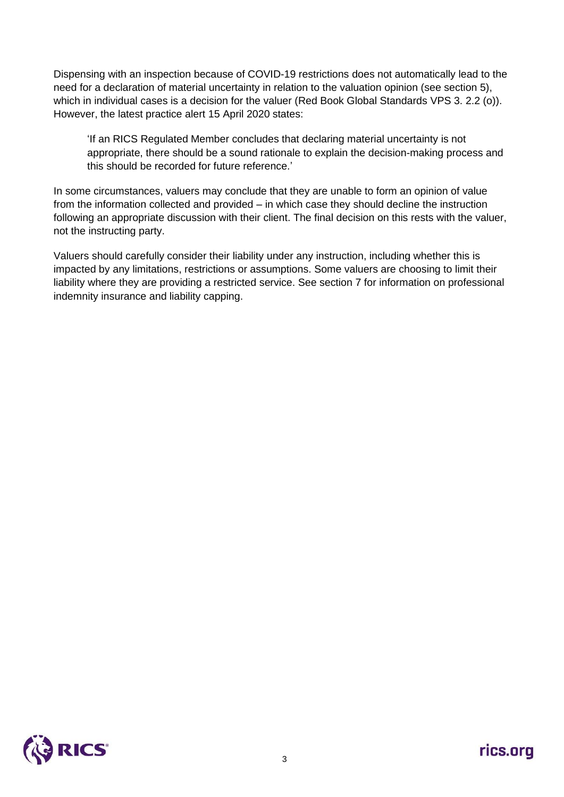Dispensing with an inspection because of COVID-19 restrictions does not automatically lead to the need for a declaration of material uncertainty in relation to the valuation opinion (see section 5), which in individual cases is a decision for the valuer (Red Book Global Standards VPS 3, 2.2 (o)). However, the latest practice alert 15 April 2020 states:

'If an RICS Regulated Member concludes that declaring material uncertainty is not appropriate, there should be a sound rationale to explain the decision-making process and this should be recorded for future reference.'

In some circumstances, valuers may conclude that they are unable to form an opinion of value from the information collected and provided – in which case they should decline the instruction following an appropriate discussion with their client. The final decision on this rests with the valuer, not the instructing party.

Valuers should carefully consider their liability under any instruction, including whether this is impacted by any limitations, restrictions or assumptions. Some valuers are choosing to limit their liability where they are providing a restricted service. See section 7 for information on professional indemnity insurance and liability capping.

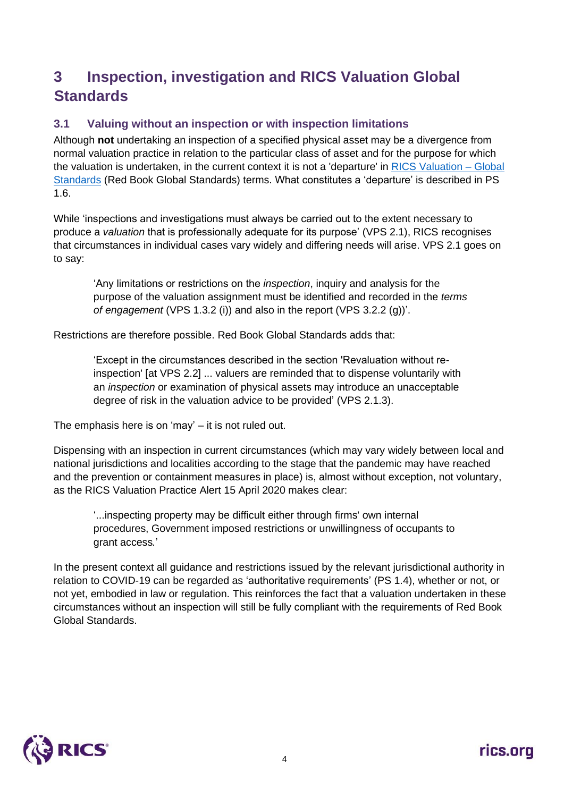## **3 Inspection, investigation and RICS Valuation Global Standards**

#### **3.1 Valuing without an inspection or with inspection limitations**

Although **not** undertaking an inspection of a specified physical asset may be a divergence from normal valuation practice in relation to the particular class of asset and for the purpose for which the valuation is undertaken, in the current context it is not a 'departure' in RICS Valuation – Global Standards (Red Book Global Standards) terms. What constitutes a 'departure' is described in PS 1.6.

While 'inspections and investigations must always be carried out to the extent necessary to produce a *valuation* that is professionally adequate for its purpose' (VPS 2.1), RICS recognises that circumstances in individual cases vary widely and differing needs will arise. VPS 2.1 goes on to say:

'Any limitations or restrictions on the *inspection*, inquiry and analysis for the purpose of the valuation assignment must be identified and recorded in the *terms of engagement* (VPS 1.3.2 (i)) and also in the report (VPS 3.2.2 (g))'.

Restrictions are therefore possible. Red Book Global Standards adds that:

'Except in the circumstances described in the section 'Revaluation without reinspection' [at VPS 2.2] ... valuers are reminded that to dispense voluntarily with an *inspection* or examination of physical assets may introduce an unacceptable degree of risk in the valuation advice to be provided' (VPS 2.1.3).

The emphasis here is on 'may' – it is not ruled out.

Dispensing with an inspection in current circumstances (which may vary widely between local and national jurisdictions and localities according to the stage that the pandemic may have reached and the prevention or containment measures in place) is, almost without exception, not voluntary, as the RICS Valuation Practice Alert 15 April 2020 makes clear:

'...inspecting property may be difficult either through firms' own internal procedures, Government imposed restrictions or unwillingness of occupants to grant access*.*'

In the present context all guidance and restrictions issued by the relevant jurisdictional authority in relation to COVID-19 can be regarded as 'authoritative requirements' (PS 1.4), whether or not, or not yet, embodied in law or regulation. This reinforces the fact that a valuation undertaken in these circumstances without an inspection will still be fully compliant with the requirements of Red Book Global Standards.

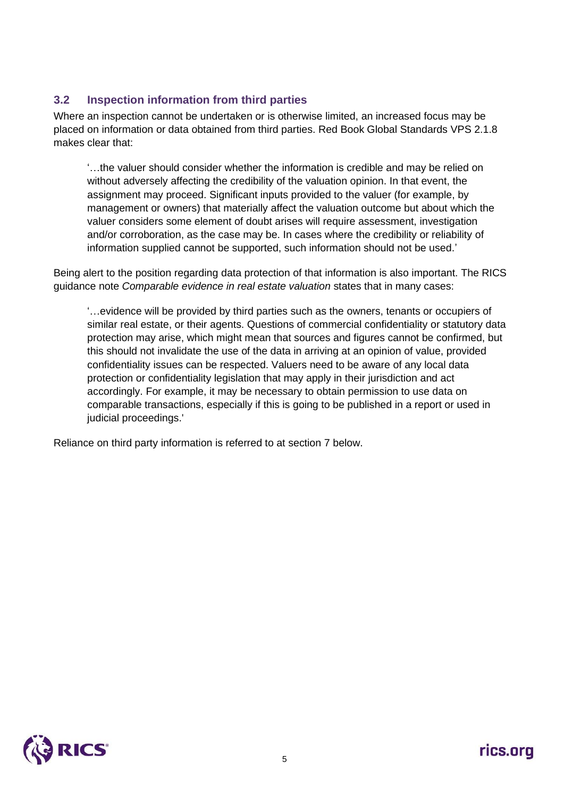#### **3.2 Inspection information from third parties**

Where an inspection cannot be undertaken or is otherwise limited, an increased focus may be placed on information or data obtained from third parties. Red Book Global Standards VPS 2.1.8 makes clear that:

'…the valuer should consider whether the information is credible and may be relied on without adversely affecting the credibility of the valuation opinion. In that event, the assignment may proceed. Significant inputs provided to the valuer (for example, by management or owners) that materially affect the valuation outcome but about which the valuer considers some element of doubt arises will require assessment, investigation and/or corroboration, as the case may be. In cases where the credibility or reliability of information supplied cannot be supported, such information should not be used.'

Being alert to the position regarding data protection of that information is also important. The RICS guidance note *Comparable evidence in real estate valuation* states that in many cases:

'…evidence will be provided by third parties such as the owners, tenants or occupiers of similar real estate, or their agents. Questions of commercial confidentiality or statutory data protection may arise, which might mean that sources and figures cannot be confirmed, but this should not invalidate the use of the data in arriving at an opinion of value, provided confidentiality issues can be respected. Valuers need to be aware of any local data protection or confidentiality legislation that may apply in their jurisdiction and act accordingly. For example, it may be necessary to obtain permission to use data on comparable transactions, especially if this is going to be published in a report or used in judicial proceedings.'

Reliance on third party information is referred to at section 7 below.

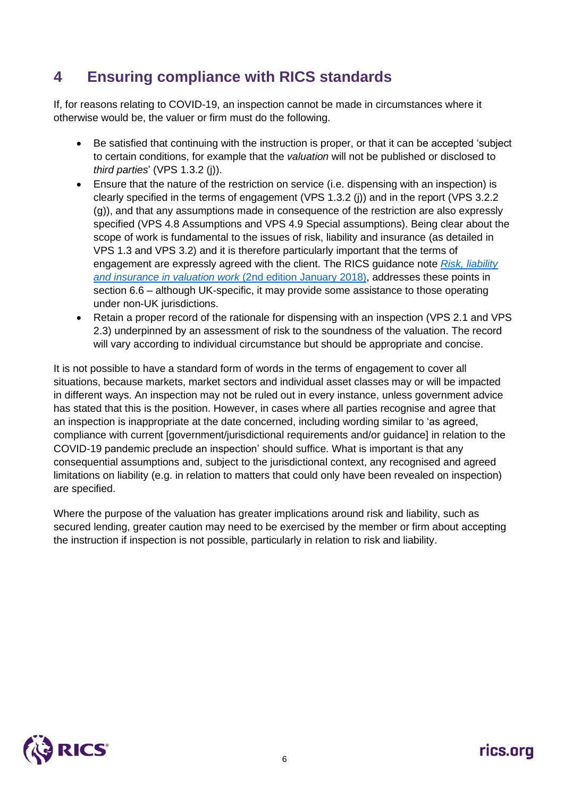### **4 Ensuring compliance with RICS standards**

If, for reasons relating to COVID-19, an inspection cannot be made in circumstances where it otherwise would be, the valuer or firm must do the following.

- Be satisfied that continuing with the instruction is proper, or that it can be accepted 'subject to certain conditions, for example that the *valuation* will not be published or disclosed to *third parties*' (VPS 1.3.2 (j)).
- Ensure that the nature of the restriction on service (i.e. dispensing with an inspection) is clearly specified in the terms of engagement (VPS 1.3.2 (j)) and in the report (VPS 3.2.2 (g)), and that any assumptions made in consequence of the restriction are also expressly specified (VPS 4.8 Assumptions and VPS 4.9 Special assumptions). Being clear about the scope of work is fundamental to the issues of risk, liability and insurance (as detailed in VPS 1.3 and VPS 3.2) and it is therefore particularly important that the terms of engagement are expressly agreed with the client. The RICS guidance note *Risk, liability and insurance in valuation work* (2nd edition January 2018), addresses these points in section 6.6 – although UK-specific, it may provide some assistance to those operating under non-UK jurisdictions.
- Retain a proper record of the rationale for dispensing with an inspection (VPS 2.1 and VPS 2.3) underpinned by an assessment of risk to the soundness of the valuation. The record will vary according to individual circumstance but should be appropriate and concise.

It is not possible to have a standard form of words in the terms of engagement to cover all situations, because markets, market sectors and individual asset classes may or will be impacted in different ways. An inspection may not be ruled out in every instance, unless government advice has stated that this is the position. However, in cases where all parties recognise and agree that an inspection is inappropriate at the date concerned, including wording similar to 'as agreed, compliance with current [government/jurisdictional requirements and/or guidance] in relation to the COVID-19 pandemic preclude an inspection' should suffice. What is important is that any consequential assumptions and, subject to the jurisdictional context, any recognised and agreed limitations on liability (e.g. in relation to matters that could only have been revealed on inspection) are specified.

Where the purpose of the valuation has greater implications around risk and liability, such as secured lending, greater caution may need to be exercised by the member or firm about accepting the instruction if inspection is not possible, particularly in relation to risk and liability.

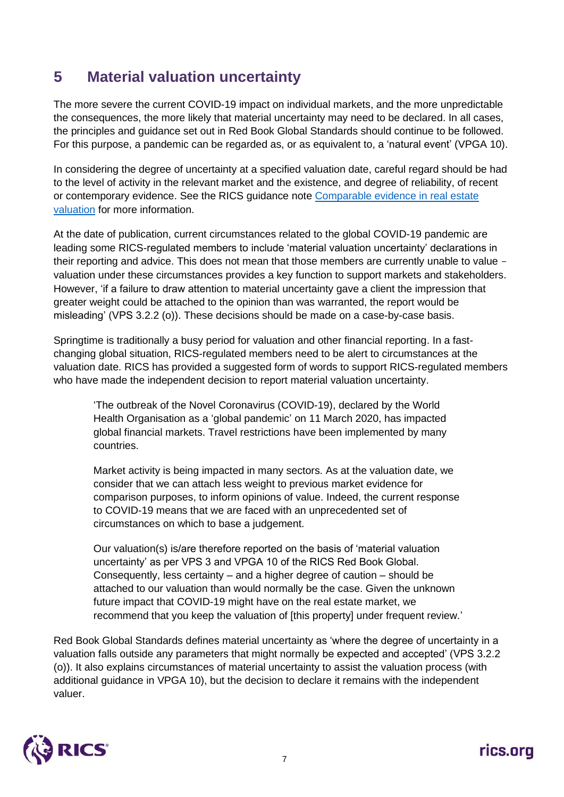### **5 Material valuation uncertainty**

The more severe the current COVID-19 impact on individual markets, and the more unpredictable the consequences, the more likely that material uncertainty may need to be declared. In all cases, the principles and guidance set out in Red Book Global Standards should continue to be followed. For this purpose, a pandemic can be regarded as, or as equivalent to, a 'natural event' (VPGA 10).

In considering the degree of uncertainty at a specified valuation date, careful regard should be had to the level of activity in the relevant market and the existence, and degree of reliability, of recent or contemporary evidence. See the RICS guidance note Comparable evidence in real estate valuation for more information.

At the date of publication, current circumstances related to the global COVID-19 pandemic are leading some RICS-regulated members to include 'material valuation uncertainty' declarations in their reporting and advice. This does not mean that those members are currently unable to value valuation under these circumstances provides a key function to support markets and stakeholders. However, 'if a failure to draw attention to material uncertainty gave a client the impression that greater weight could be attached to the opinion than was warranted, the report would be misleading' (VPS 3.2.2 (o)). These decisions should be made on a case-by-case basis.

Springtime is traditionally a busy period for valuation and other financial reporting. In a fastchanging global situation, RICS-regulated members need to be alert to circumstances at the valuation date. RICS has provided a suggested form of words to support RICS-regulated members who have made the independent decision to report material valuation uncertainty.

'The outbreak of the Novel Coronavirus (COVID-19), declared by the World Health Organisation as a 'global pandemic' on 11 March 2020, has impacted global financial markets. Travel restrictions have been implemented by many countries.

Market activity is being impacted in many sectors. As at the valuation date, we consider that we can attach less weight to previous market evidence for comparison purposes, to inform opinions of value. Indeed, the current response to COVID-19 means that we are faced with an unprecedented set of circumstances on which to base a judgement.

Our valuation(s) is/are therefore reported on the basis of 'material valuation uncertainty' as per VPS 3 and VPGA 10 of the RICS Red Book Global. Consequently, less certainty – and a higher degree of caution – should be attached to our valuation than would normally be the case. Given the unknown future impact that COVID-19 might have on the real estate market, we recommend that you keep the valuation of [this property] under frequent review.'

Red Book Global Standards defines material uncertainty as 'where the degree of uncertainty in a valuation falls outside any parameters that might normally be expected and accepted' (VPS 3.2.2 (o)). It also explains circumstances of material uncertainty to assist the valuation process (with additional guidance in VPGA 10), but the decision to declare it remains with the independent valuer.

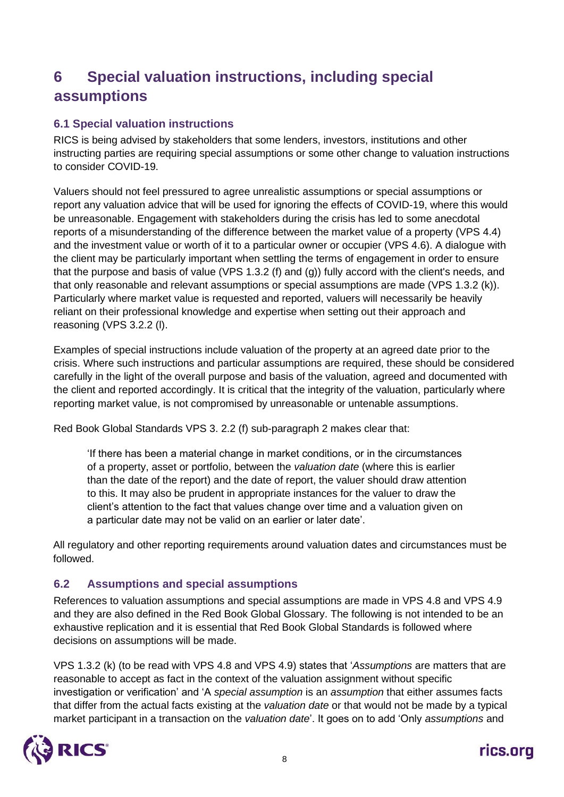## **6 Special valuation instructions, including special assumptions**

#### **6.1 Special valuation instructions**

RICS is being advised by stakeholders that some lenders, investors, institutions and other instructing parties are requiring special assumptions or some other change to valuation instructions to consider COVID-19.

Valuers should not feel pressured to agree unrealistic assumptions or special assumptions or report any valuation advice that will be used for ignoring the effects of COVID-19, where this would be unreasonable. Engagement with stakeholders during the crisis has led to some anecdotal reports of a misunderstanding of the difference between the market value of a property (VPS 4.4) and the investment value or worth of it to a particular owner or occupier (VPS 4.6). A dialogue with the client may be particularly important when settling the terms of engagement in order to ensure that the purpose and basis of value (VPS 1.3.2 (f) and (g)) fully accord with the client's needs, and that only reasonable and relevant assumptions or special assumptions are made (VPS 1.3.2 (k)). Particularly where market value is requested and reported, valuers will necessarily be heavily reliant on their professional knowledge and expertise when setting out their approach and reasoning (VPS 3.2.2 (l).

Examples of special instructions include valuation of the property at an agreed date prior to the crisis. Where such instructions and particular assumptions are required, these should be considered carefully in the light of the overall purpose and basis of the valuation, agreed and documented with the client and reported accordingly. It is critical that the integrity of the valuation, particularly where reporting market value, is not compromised by unreasonable or untenable assumptions.

Red Book Global Standards VPS 3. 2.2 (f) sub-paragraph 2 makes clear that:

'If there has been a material change in market conditions, or in the circumstances of a property, asset or portfolio, between the *valuation date* (where this is earlier than the date of the report) and the date of report, the valuer should draw attention to this. It may also be prudent in appropriate instances for the valuer to draw the client's attention to the fact that values change over time and a valuation given on a particular date may not be valid on an earlier or later date'.

All regulatory and other reporting requirements around valuation dates and circumstances must be followed.

#### **6.2 Assumptions and special assumptions**

References to valuation assumptions and special assumptions are made in VPS 4.8 and VPS 4.9 and they are also defined in the Red Book Global Glossary. The following is not intended to be an exhaustive replication and it is essential that Red Book Global Standards is followed where decisions on assumptions will be made.

VPS 1.3.2 (k) (to be read with VPS 4.8 and VPS 4.9) states that '*Assumptions* are matters that are reasonable to accept as fact in the context of the valuation assignment without specific investigation or verification' and 'A *special assumption* is an *assumption* that either assumes facts that differ from the actual facts existing at the *valuation date* or that would not be made by a typical market participant in a transaction on the *valuation date*'. It goes on to add 'Only *assumptions* and

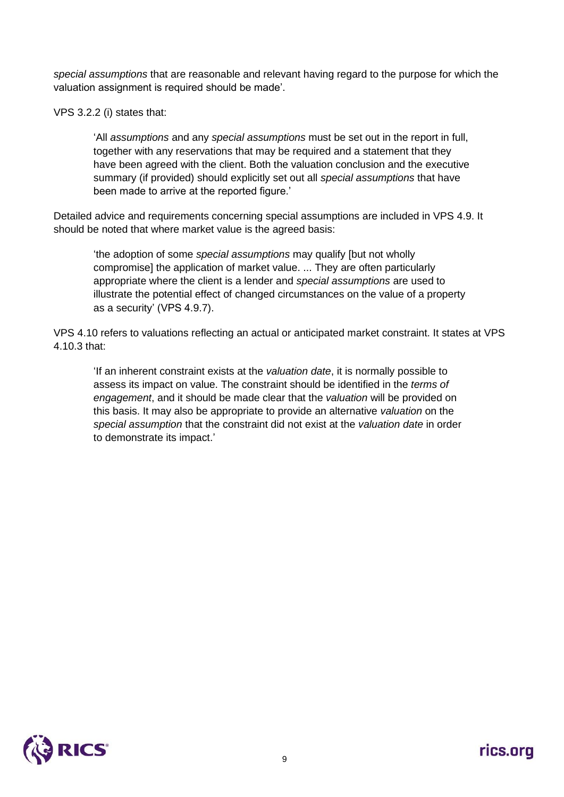*special assumptions* that are reasonable and relevant having regard to the purpose for which the valuation assignment is required should be made'.

VPS 3.2.2 (i) states that:

'All *assumptions* and any *special assumptions* must be set out in the report in full, together with any reservations that may be required and a statement that they have been agreed with the client. Both the valuation conclusion and the executive summary (if provided) should explicitly set out all *special assumptions* that have been made to arrive at the reported figure.'

Detailed advice and requirements concerning special assumptions are included in VPS 4.9. It should be noted that where market value is the agreed basis:

'the adoption of some *special assumptions* may qualify [but not wholly compromise] the application of market value. ... They are often particularly appropriate where the client is a lender and *special assumptions* are used to illustrate the potential effect of changed circumstances on the value of a property as a security' (VPS 4.9.7).

VPS 4.10 refers to valuations reflecting an actual or anticipated market constraint. It states at VPS 4.10.3 that:

'If an inherent constraint exists at the *valuation date*, it is normally possible to assess its impact on value. The constraint should be identified in the *terms of engagement*, and it should be made clear that the *valuation* will be provided on this basis. It may also be appropriate to provide an alternative *valuation* on the *special assumption* that the constraint did not exist at the *valuation date* in order to demonstrate its impact.'